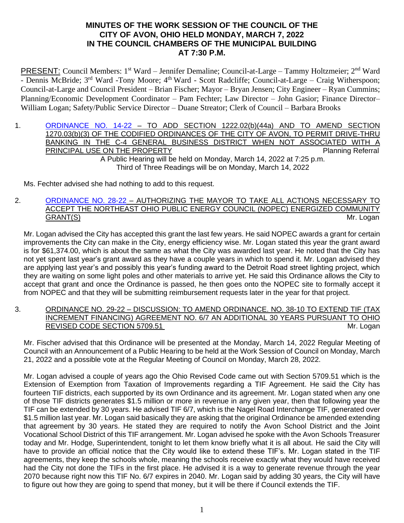### **MINUTES OF THE WORK SESSION OF THE COUNCIL OF THE CITY OF AVON, OHIO HELD MONDAY, MARCH 7, 2022 IN THE COUNCIL CHAMBERS OF THE MUNICIPAL BUILDING AT 7:30 P.M.**

PRESENT: Council Members: 1<sup>st</sup> Ward – Jennifer Demaline; Council-at-Large – Tammy Holtzmeier; 2<sup>nd</sup> Ward - Dennis McBride; 3<sup>rd</sup> Ward -Tony Moore; 4<sup>th</sup> Ward - Scott Radcliffe; Council-at-Large – Craig Witherspoon; Council-at-Large and Council President – Brian Fischer; Mayor – Bryan Jensen; City Engineer – Ryan Cummins; Planning/Economic Development Coordinator – Pam Fechter; Law Director – John Gasior; Finance Director– William Logan; Safety/Public Service Director – Duane Streator; Clerk of Council – Barbara Brooks

1. [ORDINANCE NO. 14-22](https://www.cityofavon.com/DocumentCenter/View/7612/Ordinance-No-14-22-Drive-thru-Teller-Legislation) – TO ADD SECTION 1222.02(b)(44a) AND TO AMEND SECTION 1270.03(b)(3) OF THE CODIFIED ORDINANCES OF THE CITY OF AVON, TO PERMIT DRIVE-THRU BANKING IN THE C-4 GENERAL BUSINESS DISTRICT WHEN NOT ASSOCIATED WITH A PRINCIPAL USE ON THE PROPERTY **PRINCIPAL USE ON THE PROPERTY** A Public Hearing will be held on Monday, March 14, 2022 at 7:25 p.m. Third of Three Readings will be on Monday, March 14, 2022

Ms. Fechter advised she had nothing to add to this request.

2. [ORDINANCE NO. 28-22](https://www.cityofavon.com/DocumentCenter/View/7650/Ordinance-No-28-22---NOPEC-COMMUNITY-GRANT) – AUTHORIZING THE MAYOR TO TAKE ALL ACTIONS NECESSARY TO ACCEPT THE NORTHEAST OHIO PUBLIC ENERGY COUNCIL (NOPEC) ENERGIZED COMMUNITY GRANT(S) Mr. Logan

Mr. Logan advised the City has accepted this grant the last few years. He said NOPEC awards a grant for certain improvements the City can make in the City, energy efficiency wise. Mr. Logan stated this year the grant award is for \$61,374.00, which is about the same as what the City was awarded last year. He noted that the City has not yet spent last year's grant award as they have a couple years in which to spend it. Mr. Logan advised they are applying last year's and possibly this year's funding award to the Detroit Road street lighting project, which they are waiting on some light poles and other materials to arrive yet. He said this Ordinance allows the City to accept that grant and once the Ordinance is passed, he then goes onto the NOPEC site to formally accept it from NOPEC and that they will be submitting reimbursement requests later in the year for that project.

3. ORDINANCE NO. 29-22 – DISCUSSION: TO AMEND ORDINANCE. NO. 38-10 TO EXTEND TIF (TAX INCREMENT FINANCING) AGREEMENT NO. 6/7 AN ADDITIONAL 30 YEARS PURSUANT TO OHIO REVISED CODE SECTION 5709.51 Mr. Logan

Mr. Fischer advised that this Ordinance will be presented at the Monday, March 14, 2022 Regular Meeting of Council with an Announcement of a Public Hearing to be held at the Work Session of Council on Monday, March 21, 2022 and a possible vote at the Regular Meeting of Council on Monday, March 28, 2022.

Mr. Logan advised a couple of years ago the Ohio Revised Code came out with Section 5709.51 which is the Extension of Exemption from Taxation of Improvements regarding a TIF Agreement. He said the City has fourteen TIF districts, each supported by its own Ordinance and its agreement. Mr. Logan stated when any one of those TIF districts generates \$1.5 million or more in revenue in any given year, then that following year the TIF can be extended by 30 years. He advised TIF 6/7, which is the Nagel Road Interchange TIF, generated over \$1.5 million last year. Mr. Logan said basically they are asking that the original Ordinance be amended extending that agreement by 30 years. He stated they are required to notify the Avon School District and the Joint Vocational School District of this TIF arrangement. Mr. Logan advised he spoke with the Avon Schools Treasurer today and Mr. Hodge, Superintendent, tonight to let them know briefly what it is all about. He said the City will have to provide an official notice that the City would like to extend these TIF's. Mr. Logan stated in the TIF agreements, they keep the schools whole, meaning the schools receive exactly what they would have received had the City not done the TIFs in the first place. He advised it is a way to generate revenue through the year 2070 because right now this TIF No. 6/7 expires in 2040. Mr. Logan said by adding 30 years, the City will have to figure out how they are going to spend that money, but it will be there if Council extends the TIF.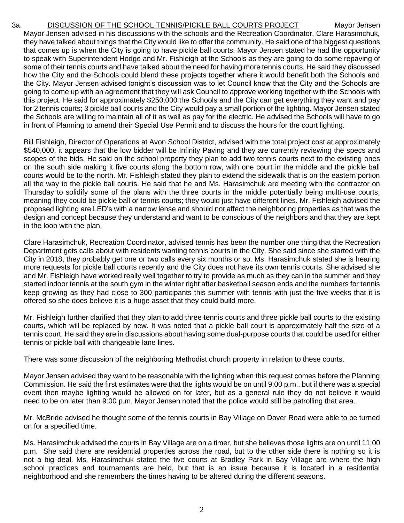3a. DISCUSSION OF THE SCHOOL TENNIS/PICKLE BALL COURTS PROJECT Mayor Jensen Mayor Jensen advised in his discussions with the schools and the Recreation Coordinator, Clare Harasimchuk, they have talked about things that the City would like to offer the community. He said one of the biggest questions that comes up is when the City is going to have pickle ball courts. Mayor Jensen stated he had the opportunity to speak with Superintendent Hodge and Mr. Fishleigh at the Schools as they are going to do some repaving of some of their tennis courts and have talked about the need for having more tennis courts. He said they discussed how the City and the Schools could blend these projects together where it would benefit both the Schools and the City. Mayor Jensen advised tonight's discussion was to let Council know that the City and the Schools are going to come up with an agreement that they will ask Council to approve working together with the Schools with this project. He said for approximately \$250,000 the Schools and the City can get everything they want and pay for 2 tennis courts; 3 pickle ball courts and the City would pay a small portion of the lighting. Mayor Jensen stated the Schools are willing to maintain all of it as well as pay for the electric. He advised the Schools will have to go in front of Planning to amend their Special Use Permit and to discuss the hours for the court lighting.

Bill Fishleigh, Director of Operations at Avon School District, advised with the total project cost at approximately \$540,000, it appears that the low bidder will be Infinity Paving and they are currently reviewing the specs and scopes of the bids. He said on the school property they plan to add two tennis courts next to the existing ones on the south side making it five courts along the bottom row, with one court in the middle and the pickle ball courts would be to the north. Mr. Fishleigh stated they plan to extend the sidewalk that is on the eastern portion all the way to the pickle ball courts. He said that he and Ms. Harasimchuk are meeting with the contractor on Thursday to solidify some of the plans with the three courts in the middle potentially being multi-use courts, meaning they could be pickle ball or tennis courts; they would just have different lines. Mr. Fishleigh advised the proposed lighting are LED's with a narrow lense and should not affect the neighboring properties as that was the design and concept because they understand and want to be conscious of the neighbors and that they are kept in the loop with the plan.

Clare Harasimchuk, Recreation Coordinator, advised tennis has been the number one thing that the Recreation Department gets calls about with residents wanting tennis courts in the City. She said since she started with the City in 2018, they probably get one or two calls every six months or so. Ms. Harasimchuk stated she is hearing more requests for pickle ball courts recently and the City does not have its own tennis courts. She advised she and Mr. Fishleigh have worked really well together to try to provide as much as they can in the summer and they started indoor tennis at the south gym in the winter right after basketball season ends and the numbers for tennis keep growing as they had close to 300 participants this summer with tennis with just the five weeks that it is offered so she does believe it is a huge asset that they could build more.

Mr. Fishleigh further clarified that they plan to add three tennis courts and three pickle ball courts to the existing courts, which will be replaced by new. It was noted that a pickle ball court is approximately half the size of a tennis court. He said they are in discussions about having some dual-purpose courts that could be used for either tennis or pickle ball with changeable lane lines.

There was some discussion of the neighboring Methodist church property in relation to these courts.

Mayor Jensen advised they want to be reasonable with the lighting when this request comes before the Planning Commission. He said the first estimates were that the lights would be on until 9:00 p.m., but if there was a special event then maybe lighting would be allowed on for later, but as a general rule they do not believe it would need to be on later than 9:00 p.m. Mayor Jensen noted that the police would still be patrolling that area.

Mr. McBride advised he thought some of the tennis courts in Bay Village on Dover Road were able to be turned on for a specified time.

Ms. Harasimchuk advised the courts in Bay Village are on a timer, but she believes those lights are on until 11:00 p.m. She said there are residential properties across the road, but to the other side there is nothing so it is not a big deal. Ms. Harasimchuk stated the five courts at Bradley Park in Bay Village are where the high school practices and tournaments are held, but that is an issue because it is located in a residential neighborhood and she remembers the times having to be altered during the different seasons.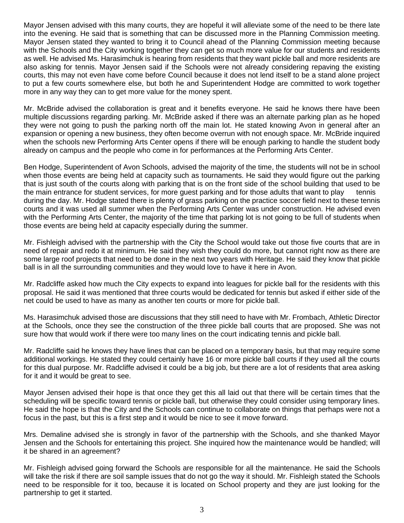Mayor Jensen advised with this many courts, they are hopeful it will alleviate some of the need to be there late into the evening. He said that is something that can be discussed more in the Planning Commission meeting. Mayor Jensen stated they wanted to bring it to Council ahead of the Planning Commission meeting because with the Schools and the City working together they can get so much more value for our students and residents as well. He advised Ms. Harasimchuk is hearing from residents that they want pickle ball and more residents are also asking for tennis. Mayor Jensen said if the Schools were not already considering repaving the existing courts, this may not even have come before Council because it does not lend itself to be a stand alone project to put a few courts somewhere else, but both he and Superintendent Hodge are committed to work together more in any way they can to get more value for the money spent.

Mr. McBride advised the collaboration is great and it benefits everyone. He said he knows there have been multiple discussions regarding parking. Mr. McBride asked if there was an alternate parking plan as he hoped they were not going to push the parking north off the main lot. He stated knowing Avon in general after an expansion or opening a new business, they often become overrun with not enough space. Mr. McBride inquired when the schools new Performing Arts Center opens if there will be enough parking to handle the student body already on campus and the people who come in for performances at the Performing Arts Center.

Ben Hodge, Superintendent of Avon Schools, advised the majority of the time, the students will not be in school when those events are being held at capacity such as tournaments. He said they would figure out the parking that is just south of the courts along with parking that is on the front side of the school building that used to be the main entrance for student services, for more guest parking and for those adults that want to play tennis during the day. Mr. Hodge stated there is plenty of grass parking on the practice soccer field next to these tennis courts and it was used all summer when the Performing Arts Center was under construction. He advised even with the Performing Arts Center, the majority of the time that parking lot is not going to be full of students when those events are being held at capacity especially during the summer.

Mr. Fishleigh advised with the partnership with the City the School would take out those five courts that are in need of repair and redo it at minimum. He said they wish they could do more, but cannot right now as there are some large roof projects that need to be done in the next two years with Heritage. He said they know that pickle ball is in all the surrounding communities and they would love to have it here in Avon.

Mr. Radcliffe asked how much the City expects to expand into leagues for pickle ball for the residents with this proposal. He said it was mentioned that three courts would be dedicated for tennis but asked if either side of the net could be used to have as many as another ten courts or more for pickle ball.

Ms. Harasimchuk advised those are discussions that they still need to have with Mr. Frombach, Athletic Director at the Schools, once they see the construction of the three pickle ball courts that are proposed. She was not sure how that would work if there were too many lines on the court indicating tennis and pickle ball.

Mr. Radcliffe said he knows they have lines that can be placed on a temporary basis, but that may require some additional workings. He stated they could certainly have 16 or more pickle ball courts if they used all the courts for this dual purpose. Mr. Radcliffe advised it could be a big job, but there are a lot of residents that area asking for it and it would be great to see.

Mayor Jensen advised their hope is that once they get this all laid out that there will be certain times that the scheduling will be specific toward tennis or pickle ball, but otherwise they could consider using temporary lines. He said the hope is that the City and the Schools can continue to collaborate on things that perhaps were not a focus in the past, but this is a first step and it would be nice to see it move forward.

Mrs. Demaline advised she is strongly in favor of the partnership with the Schools, and she thanked Mayor Jensen and the Schools for entertaining this project. She inquired how the maintenance would be handled; will it be shared in an agreement?

Mr. Fishleigh advised going forward the Schools are responsible for all the maintenance. He said the Schools will take the risk if there are soil sample issues that do not go the way it should. Mr. Fishleigh stated the Schools need to be responsible for it too, because it is located on School property and they are just looking for the partnership to get it started.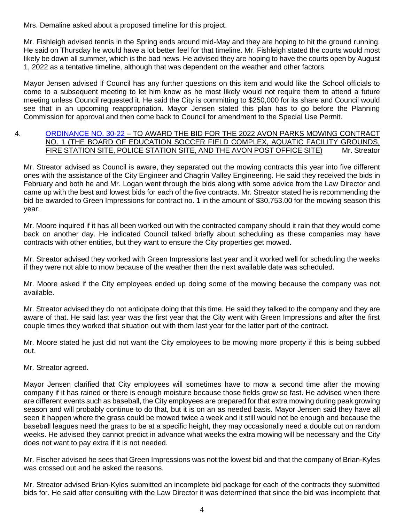Mrs. Demaline asked about a proposed timeline for this project.

Mr. Fishleigh advised tennis in the Spring ends around mid-May and they are hoping to hit the ground running. He said on Thursday he would have a lot better feel for that timeline. Mr. Fishleigh stated the courts would most likely be down all summer, which is the bad news. He advised they are hoping to have the courts open by August 1, 2022 as a tentative timeline, although that was dependent on the weather and other factors.

Mayor Jensen advised if Council has any further questions on this item and would like the School officials to come to a subsequent meeting to let him know as he most likely would not require them to attend a future meeting unless Council requested it. He said the City is committing to \$250,000 for its share and Council would see that in an upcoming reappropriation. Mayor Jensen stated this plan has to go before the Planning Commission for approval and then come back to Council for amendment to the Special Use Permit.

#### 4. [ORDINANCE NO. 30-22](https://www.cityofavon.com/DocumentCenter/View/7651/Ordinance-No-30-22---Award-Bid---Mowing-Contract-No-1) – TO AWARD THE BID FOR THE 2022 AVON PARKS MOWING CONTRACT NO. 1 (THE BOARD OF EDUCATION SOCCER FIELD COMPLEX, AQUATIC FACILITY GROUNDS, FIRE STATION SITE, POLICE STATION SITE, AND THE AVON POST OFFICE SITE) Mr. Streator

Mr. Streator advised as Council is aware, they separated out the mowing contracts this year into five different ones with the assistance of the City Engineer and Chagrin Valley Engineering. He said they received the bids in February and both he and Mr. Logan went through the bids along with some advice from the Law Director and came up with the best and lowest bids for each of the five contracts. Mr. Streator stated he is recommending the bid be awarded to Green Impressions for contract no. 1 in the amount of \$30,753.00 for the mowing season this year.

Mr. Moore inquired if it has all been worked out with the contracted company should it rain that they would come back on another day. He indicated Council talked briefly about scheduling as these companies may have contracts with other entities, but they want to ensure the City properties get mowed.

Mr. Streator advised they worked with Green Impressions last year and it worked well for scheduling the weeks if they were not able to mow because of the weather then the next available date was scheduled.

Mr. Moore asked if the City employees ended up doing some of the mowing because the company was not available.

Mr. Streator advised they do not anticipate doing that this time. He said they talked to the company and they are aware of that. He said last year was the first year that the City went with Green Impressions and after the first couple times they worked that situation out with them last year for the latter part of the contract.

Mr. Moore stated he just did not want the City employees to be mowing more property if this is being subbed out.

Mr. Streator agreed.

Mayor Jensen clarified that City employees will sometimes have to mow a second time after the mowing company if it has rained or there is enough moisture because those fields grow so fast. He advised when there are different events such as baseball, the City employees are prepared for that extra mowing during peak growing season and will probably continue to do that, but it is on an as needed basis. Mayor Jensen said they have all seen it happen where the grass could be mowed twice a week and it still would not be enough and because the baseball leagues need the grass to be at a specific height, they may occasionally need a double cut on random weeks. He advised they cannot predict in advance what weeks the extra mowing will be necessary and the City does not want to pay extra if it is not needed.

Mr. Fischer advised he sees that Green Impressions was not the lowest bid and that the company of Brian-Kyles was crossed out and he asked the reasons.

Mr. Streator advised Brian-Kyles submitted an incomplete bid package for each of the contracts they submitted bids for. He said after consulting with the Law Director it was determined that since the bid was incomplete that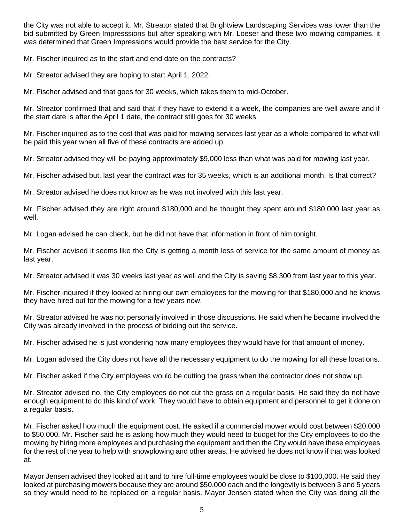the City was not able to accept it. Mr. Streator stated that Brightview Landscaping Services was lower than the bid submitted by Green Impresssions but after speaking with Mr. Loeser and these two mowing companies, it was determined that Green Impressions would provide the best service for the City.

Mr. Fischer inquired as to the start and end date on the contracts?

Mr. Streator advised they are hoping to start April 1, 2022.

Mr. Fischer advised and that goes for 30 weeks, which takes them to mid-October.

Mr. Streator confirmed that and said that if they have to extend it a week, the companies are well aware and if the start date is after the April 1 date, the contract still goes for 30 weeks.

Mr. Fischer inquired as to the cost that was paid for mowing services last year as a whole compared to what will be paid this year when all five of these contracts are added up.

Mr. Streator advised they will be paying approximately \$9,000 less than what was paid for mowing last year.

Mr. Fischer advised but, last year the contract was for 35 weeks, which is an additional month. Is that correct?

Mr. Streator advised he does not know as he was not involved with this last year.

Mr. Fischer advised they are right around \$180,000 and he thought they spent around \$180,000 last year as well.

Mr. Logan advised he can check, but he did not have that information in front of him tonight.

Mr. Fischer advised it seems like the City is getting a month less of service for the same amount of money as last year.

Mr. Streator advised it was 30 weeks last year as well and the City is saving \$8,300 from last year to this year.

Mr. Fischer inquired if they looked at hiring our own employees for the mowing for that \$180,000 and he knows they have hired out for the mowing for a few years now.

Mr. Streator advised he was not personally involved in those discussions. He said when he became involved the City was already involved in the process of bidding out the service.

Mr. Fischer advised he is just wondering how many employees they would have for that amount of money.

Mr. Logan advised the City does not have all the necessary equipment to do the mowing for all these locations.

Mr. Fischer asked if the City employees would be cutting the grass when the contractor does not show up.

Mr. Streator advised no, the City employees do not cut the grass on a regular basis. He said they do not have enough equipment to do this kind of work. They would have to obtain equipment and personnel to get it done on a regular basis.

Mr. Fischer asked how much the equipment cost. He asked if a commercial mower would cost between \$20,000 to \$50,000. Mr. Fischer said he is asking how much they would need to budget for the City employees to do the mowing by hiring more employees and purchasing the equipment and then the City would have these employees for the rest of the year to help with snowplowing and other areas. He advised he does not know if that was looked at.

Mayor Jensen advised they looked at it and to hire full-time employees would be close to \$100,000. He said they looked at purchasing mowers because they are around \$50,000 each and the longevity is between 3 and 5 years so they would need to be replaced on a regular basis. Mayor Jensen stated when the City was doing all the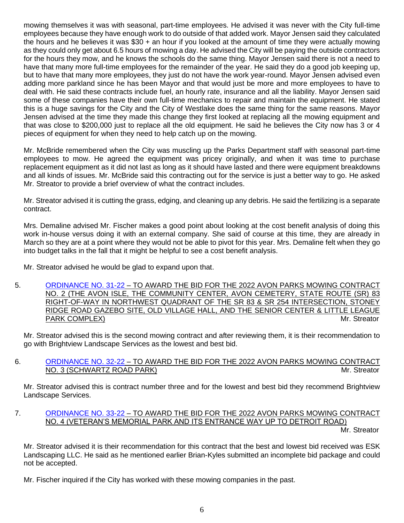mowing themselves it was with seasonal, part-time employees. He advised it was never with the City full-time employees because they have enough work to do outside of that added work. Mayor Jensen said they calculated the hours and he believes it was \$30 + an hour if you looked at the amount of time they were actually mowing as they could only get about 6.5 hours of mowing a day. He advised the City will be paying the outside contractors for the hours they mow, and he knows the schools do the same thing. Mayor Jensen said there is not a need to have that many more full-time employees for the remainder of the year. He said they do a good job keeping up, but to have that many more employees, they just do not have the work year-round. Mayor Jensen advised even adding more parkland since he has been Mayor and that would just be more and more employees to have to deal with. He said these contracts include fuel, an hourly rate, insurance and all the liability. Mayor Jensen said some of these companies have their own full-time mechanics to repair and maintain the equipment. He stated this is a huge savings for the City and the City of Westlake does the same thing for the same reasons. Mayor Jensen advised at the time they made this change they first looked at replacing all the mowing equipment and that was close to \$200,000 just to replace all the old equipment. He said he believes the City now has 3 or 4 pieces of equipment for when they need to help catch up on the mowing.

Mr. McBride remembered when the City was muscling up the Parks Department staff with seasonal part-time employees to mow. He agreed the equipment was pricey originally, and when it was time to purchase replacement equipment as it did not last as long as it should have lasted and there were equipment breakdowns and all kinds of issues. Mr. McBride said this contracting out for the service is just a better way to go. He asked Mr. Streator to provide a brief overview of what the contract includes.

Mr. Streator advised it is cutting the grass, edging, and cleaning up any debris. He said the fertilizing is a separate contract.

Mrs. Demaline advised Mr. Fischer makes a good point about looking at the cost benefit analysis of doing this work in-house versus doing it with an external company. She said of course at this time, they are already in March so they are at a point where they would not be able to pivot for this year. Mrs. Demaline felt when they go into budget talks in the fall that it might be helpful to see a cost benefit analysis.

Mr. Streator advised he would be glad to expand upon that.

5. [ORDINANCE NO. 31-22](https://www.cityofavon.com/DocumentCenter/View/7652/Ordinance-No-31-22---Award-Bid---Mowing-Contract-No-2) – TO AWARD THE BID FOR THE 2022 AVON PARKS MOWING CONTRACT NO. 2 (THE AVON ISLE, THE COMMUNITY CENTER, AVON CEMETERY, STATE ROUTE (SR) 83 RIGHT-OF-WAY IN NORTHWEST QUADRANT OF THE SR 83 & SR 254 INTERSECTION, STONEY RIDGE ROAD GAZEBO SITE, OLD VILLAGE HALL, AND THE SENIOR CENTER & LITTLE LEAGUE PARK COMPLEX) and the streater and the streater and the streater and the streater and the streater and the streater and the streater and the streater and the streater and the streater and the streater and the streater and

Mr. Streator advised this is the second mowing contract and after reviewing them, it is their recommendation to go with Brightview Landscape Services as the lowest and best bid.

#### 6. [ORDINANCE NO. 32-22](https://www.cityofavon.com/DocumentCenter/View/7653/Ordinance-No-32-22---Award-Bid---Mowing-Contract-No-3) – TO AWARD THE BID FOR THE 2022 AVON PARKS MOWING CONTRACT NO. 3 (SCHWARTZ ROAD PARK) MR. Streator Mr. Streator

Mr. Streator advised this is contract number three and for the lowest and best bid they recommend Brightview Landscape Services.

# 7. [ORDINANCE NO. 33-22](https://www.cityofavon.com/DocumentCenter/View/7654/Ordinance-No-33-22---Award-Bid---Mowing-Contract-No-4) – TO AWARD THE BID FOR THE 2022 AVON PARKS MOWING CONTRACT NO. 4 (VETERAN'S MEMORIAL PARK AND ITS ENTRANCE WAY UP TO DETROIT ROAD)

Mr. Streator

Mr. Streator advised it is their recommendation for this contract that the best and lowest bid received was ESK Landscaping LLC. He said as he mentioned earlier Brian-Kyles submitted an incomplete bid package and could not be accepted.

Mr. Fischer inquired if the City has worked with these mowing companies in the past.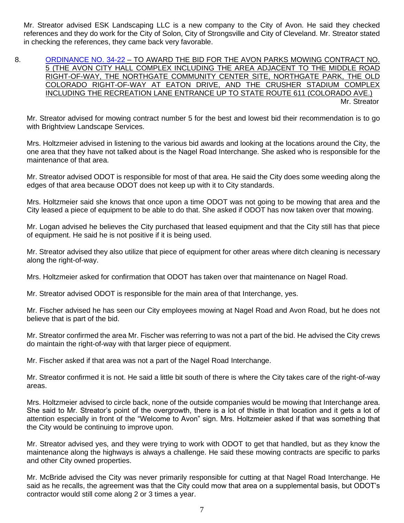Mr. Streator advised ESK Landscaping LLC is a new company to the City of Avon. He said they checked references and they do work for the City of Solon, City of Strongsville and City of Cleveland. Mr. Streator stated in checking the references, they came back very favorable.

8. [ORDINANCE NO. 34-22](https://www.cityofavon.com/DocumentCenter/View/7655/Ordinance-No-34-22---Award-Bid---Mowing-Contract-No-5) – TO AWARD THE BID FOR THE AVON PARKS MOWING CONTRACT NO. 5 (THE AVON CITY HALL COMPLEX INCLUDING THE AREA ADJACENT TO THE MIDDLE ROAD RIGHT-OF-WAY, THE NORTHGATE COMMUNITY CENTER SITE, NORTHGATE PARK, THE OLD COLORADO RIGHT-OF-WAY AT EATON DRIVE, AND THE CRUSHER STADIUM COMPLEX INCLUDING THE RECREATION LANE ENTRANCE UP TO STATE ROUTE 611 (COLORADO AVE.) Mr. Streator

Mr. Streator advised for mowing contract number 5 for the best and lowest bid their recommendation is to go with Brightview Landscape Services.

Mrs. Holtzmeier advised in listening to the various bid awards and looking at the locations around the City, the one area that they have not talked about is the Nagel Road Interchange. She asked who is responsible for the maintenance of that area.

Mr. Streator advised ODOT is responsible for most of that area. He said the City does some weeding along the edges of that area because ODOT does not keep up with it to City standards.

Mrs. Holtzmeier said she knows that once upon a time ODOT was not going to be mowing that area and the City leased a piece of equipment to be able to do that. She asked if ODOT has now taken over that mowing.

Mr. Logan advised he believes the City purchased that leased equipment and that the City still has that piece of equipment. He said he is not positive if it is being used.

Mr. Streator advised they also utilize that piece of equipment for other areas where ditch cleaning is necessary along the right-of-way.

Mrs. Holtzmeier asked for confirmation that ODOT has taken over that maintenance on Nagel Road.

Mr. Streator advised ODOT is responsible for the main area of that Interchange, yes.

Mr. Fischer advised he has seen our City employees mowing at Nagel Road and Avon Road, but he does not believe that is part of the bid.

Mr. Streator confirmed the area Mr. Fischer was referring to was not a part of the bid. He advised the City crews do maintain the right-of-way with that larger piece of equipment.

Mr. Fischer asked if that area was not a part of the Nagel Road Interchange.

Mr. Streator confirmed it is not. He said a little bit south of there is where the City takes care of the right-of-way areas.

Mrs. Holtzmeier advised to circle back, none of the outside companies would be mowing that Interchange area. She said to Mr. Streator's point of the overgrowth, there is a lot of thistle in that location and it gets a lot of attention especially in front of the "Welcome to Avon" sign. Mrs. Holtzmeier asked if that was something that the City would be continuing to improve upon.

Mr. Streator advised yes, and they were trying to work with ODOT to get that handled, but as they know the maintenance along the highways is always a challenge. He said these mowing contracts are specific to parks and other City owned properties.

Mr. McBride advised the City was never primarily responsible for cutting at that Nagel Road Interchange. He said as he recalls, the agreement was that the City could mow that area on a supplemental basis, but ODOT's contractor would still come along 2 or 3 times a year.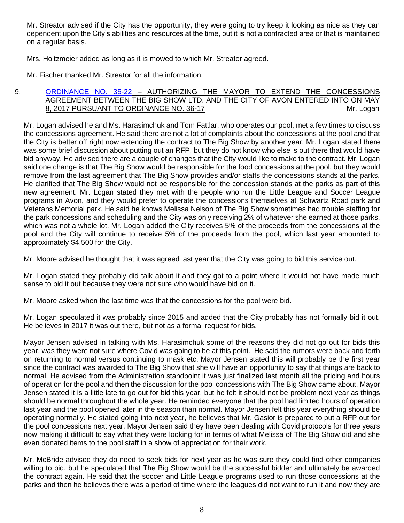Mr. Streator advised if the City has the opportunity, they were going to try keep it looking as nice as they can dependent upon the City's abilities and resources at the time, but it is not a contracted area or that is maintained on a regular basis.

Mrs. Holtzmeier added as long as it is mowed to which Mr. Streator agreed.

Mr. Fischer thanked Mr. Streator for all the information.

#### 9. [ORDINANCE NO. 35-22](https://www.cityofavon.com/DocumentCenter/View/7669/Ordinance-No-35-22-Big-Show-Extension-2022) – AUTHORIZING THE MAYOR TO EXTEND THE CONCESSIONS AGREEMENT BETWEEN THE BIG SHOW LTD. AND THE CITY OF AVON ENTERED INTO ON MAY 8, 2017 PURSUANT TO ORDINANCE NO. 36-17 MILLONESS CONTRACT MILLOGAN

Mr. Logan advised he and Ms. Harasimchuk and Tom Fattlar, who operates our pool, met a few times to discuss the concessions agreement. He said there are not a lot of complaints about the concessions at the pool and that the City is better off right now extending the contract to The Big Show by another year. Mr. Logan stated there was some brief discussion about putting out an RFP, but they do not know who else is out there that would have bid anyway. He advised there are a couple of changes that the City would like to make to the contract. Mr. Logan said one change is that The Big Show would be responsible for the food concessions at the pool, but they would remove from the last agreement that The Big Show provides and/or staffs the concessions stands at the parks. He clarified that The Big Show would not be responsible for the concession stands at the parks as part of this new agreement. Mr. Logan stated they met with the people who run the Little League and Soccer League programs in Avon, and they would prefer to operate the concessions themselves at Schwartz Road park and Veterans Memorial park. He said he knows Melissa Nelson of The Big Show sometimes had trouble staffing for the park concessions and scheduling and the City was only receiving 2% of whatever she earned at those parks, which was not a whole lot. Mr. Logan added the City receives 5% of the proceeds from the concessions at the pool and the City will continue to receive 5% of the proceeds from the pool, which last year amounted to approximately \$4,500 for the City.

Mr. Moore advised he thought that it was agreed last year that the City was going to bid this service out.

Mr. Logan stated they probably did talk about it and they got to a point where it would not have made much sense to bid it out because they were not sure who would have bid on it.

Mr. Moore asked when the last time was that the concessions for the pool were bid.

Mr. Logan speculated it was probably since 2015 and added that the City probably has not formally bid it out. He believes in 2017 it was out there, but not as a formal request for bids.

Mayor Jensen advised in talking with Ms. Harasimchuk some of the reasons they did not go out for bids this year, was they were not sure where Covid was going to be at this point. He said the rumors were back and forth on returning to normal versus continuing to mask etc. Mayor Jensen stated this will probably be the first year since the contract was awarded to The Big Show that she will have an opportunity to say that things are back to normal. He advised from the Administration standpoint it was just finalized last month all the pricing and hours of operation for the pool and then the discussion for the pool concessions with The Big Show came about. Mayor Jensen stated it is a little late to go out for bid this year, but he felt it should not be problem next year as things should be normal throughout the whole year. He reminded everyone that the pool had limited hours of operation last year and the pool opened later in the season than normal. Mayor Jensen felt this year everything should be operating normally. He stated going into next year, he believes that Mr. Gasior is prepared to put a RFP out for the pool concessions next year. Mayor Jensen said they have been dealing with Covid protocols for three years now making it difficult to say what they were looking for in terms of what Melissa of The Big Show did and she even donated items to the pool staff in a show of appreciation for their work.

Mr. McBride advised they do need to seek bids for next year as he was sure they could find other companies willing to bid, but he speculated that The Big Show would be the successful bidder and ultimately be awarded the contract again. He said that the soccer and Little League programs used to run those concessions at the parks and then he believes there was a period of time where the leagues did not want to run it and now they are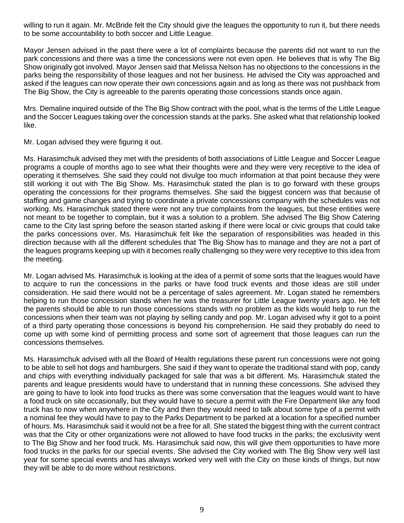willing to run it again. Mr. McBride felt the City should give the leagues the opportunity to run it, but there needs to be some accountability to both soccer and Little League.

Mayor Jensen advised in the past there were a lot of complaints because the parents did not want to run the park concessions and there was a time the concessions were not even open. He believes that is why The Big Show originally got involved. Mayor Jensen said that Melissa Nelson has no objections to the concessions in the parks being the responsibility of those leagues and not her business. He advised the City was approached and asked if the leagues can now operate their own concessions again and as long as there was not pushback from The Big Show, the City is agreeable to the parents operating those concessions stands once again.

Mrs. Demaline inquired outside of the The Big Show contract with the pool, what is the terms of the Little League and the Soccer Leagues taking over the concession stands at the parks. She asked what that relationship looked like.

Mr. Logan advised they were figuring it out.

Ms. Harasimchuk advised they met with the presidents of both associations of Little League and Soccer League programs a couple of months ago to see what their thoughts were and they were very receptive to the idea of operating it themselves. She said they could not divulge too much information at that point because they were still working it out with The Big Show. Ms. Harasimchuk stated the plan is to go forward with these groups operating the concessions for their programs themselves. She said the biggest concern was that because of staffing and game changes and trying to coordinate a private concessions company with the schedules was not working. Ms. Harasimchuk stated there were not any true complaints from the leagues, but these entities were not meant to be together to complain, but it was a solution to a problem. She advised The Big Show Catering came to the City last spring before the season started asking if there were local or civic groups that could take the parks concessions over. Ms. Harasimchuk felt like the separation of responsibilities was headed in this direction because with all the different schedules that The Big Show has to manage and they are not a part of the leagues programs keeping up with it becomes really challenging so they were very receptive to this idea from the meeting.

Mr. Logan advised Ms. Harasimchuk is looking at the idea of a permit of some sorts that the leagues would have to acquire to run the concessions in the parks or have food truck events and those ideas are still under consideration. He said there would not be a percentage of sales agreement. Mr. Logan stated he remembers helping to run those concession stands when he was the treasurer for Little League twenty years ago. He felt the parents should be able to run those concessions stands with no problem as the kids would help to run the concessions when their team was not playing by selling candy and pop. Mr. Logan advised why it got to a point of a third party operating those concessions is beyond his comprehension. He said they probably do need to come up with some kind of permitting process and some sort of agreement that those leagues can run the concessions themselves.

Ms. Harasimchuk advised with all the Board of Health regulations these parent run concessions were not going to be able to sell hot dogs and hamburgers. She said if they want to operate the traditional stand with pop, candy and chips with everything individually packaged for sale that was a bit different. Ms. Harasimchuk stated the parents and league presidents would have to understand that in running these concessions. She advised they are going to have to look into food trucks as there was some conversation that the leagues would want to have a food truck on site occasionally, but they would have to secure a permit with the Fire Department like any food truck has to now when anywhere in the City and then they would need to talk about some type of a permit with a nominal fee they would have to pay to the Parks Department to be parked at a location for a specified number of hours. Ms. Harasimchuk said it would not be a free for all. She stated the biggest thing with the current contract was that the City or other organizations were not allowed to have food trucks in the parks; the exclusivity went to The Big Show and her food truck. Ms. Harasimchuk said now, this will give them opportunities to have more food trucks in the parks for our special events. She advised the City worked with The Big Show very well last year for some special events and has always worked very well with the City on those kinds of things, but now they will be able to do more without restrictions.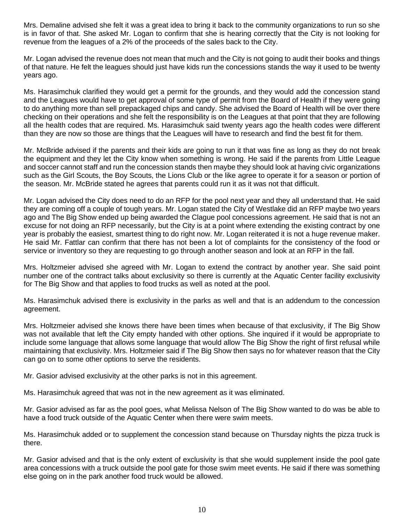Mrs. Demaline advised she felt it was a great idea to bring it back to the community organizations to run so she is in favor of that. She asked Mr. Logan to confirm that she is hearing correctly that the City is not looking for revenue from the leagues of a 2% of the proceeds of the sales back to the City.

Mr. Logan advised the revenue does not mean that much and the City is not going to audit their books and things of that nature. He felt the leagues should just have kids run the concessions stands the way it used to be twenty years ago.

Ms. Harasimchuk clarified they would get a permit for the grounds, and they would add the concession stand and the Leagues would have to get approval of some type of permit from the Board of Health if they were going to do anything more than sell prepackaged chips and candy. She advised the Board of Health will be over there checking on their operations and she felt the responsibility is on the Leagues at that point that they are following all the health codes that are required. Ms. Harasimchuk said twenty years ago the health codes were different than they are now so those are things that the Leagues will have to research and find the best fit for them.

Mr. McBride advised if the parents and their kids are going to run it that was fine as long as they do not break the equipment and they let the City know when something is wrong. He said if the parents from Little League and soccer cannot staff and run the concession stands then maybe they should look at having civic organizations such as the Girl Scouts, the Boy Scouts, the Lions Club or the like agree to operate it for a season or portion of the season. Mr. McBride stated he agrees that parents could run it as it was not that difficult.

Mr. Logan advised the City does need to do an RFP for the pool next year and they all understand that. He said they are coming off a couple of tough years. Mr. Logan stated the City of Westlake did an RFP maybe two years ago and The Big Show ended up being awarded the Clague pool concessions agreement. He said that is not an excuse for not doing an RFP necessarily, but the City is at a point where extending the existing contract by one year is probably the easiest, smartest thing to do right now. Mr. Logan reiterated it is not a huge revenue maker. He said Mr. Fattlar can confirm that there has not been a lot of complaints for the consistency of the food or service or inventory so they are requesting to go through another season and look at an RFP in the fall.

Mrs. Holtzmeier advised she agreed with Mr. Logan to extend the contract by another year. She said point number one of the contract talks about exclusivity so there is currently at the Aquatic Center facility exclusivity for The Big Show and that applies to food trucks as well as noted at the pool.

Ms. Harasimchuk advised there is exclusivity in the parks as well and that is an addendum to the concession agreement.

Mrs. Holtzmeier advised she knows there have been times when because of that exclusivity, if The Big Show was not available that left the City empty handed with other options. She inquired if it would be appropriate to include some language that allows some language that would allow The Big Show the right of first refusal while maintaining that exclusivity. Mrs. Holtzmeier said if The Big Show then says no for whatever reason that the City can go on to some other options to serve the residents.

Mr. Gasior advised exclusivity at the other parks is not in this agreement.

Ms. Harasimchuk agreed that was not in the new agreement as it was eliminated.

Mr. Gasior advised as far as the pool goes, what Melissa Nelson of The Big Show wanted to do was be able to have a food truck outside of the Aquatic Center when there were swim meets.

Ms. Harasimchuk added or to supplement the concession stand because on Thursday nights the pizza truck is there.

Mr. Gasior advised and that is the only extent of exclusivity is that she would supplement inside the pool gate area concessions with a truck outside the pool gate for those swim meet events. He said if there was something else going on in the park another food truck would be allowed.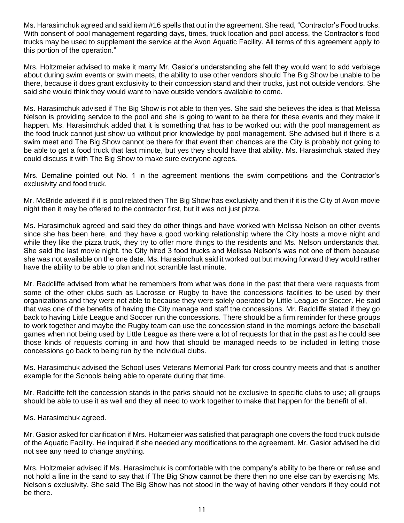Ms. Harasimchuk agreed and said item #16 spells that out in the agreement. She read, "Contractor's Food trucks. With consent of pool management regarding days, times, truck location and pool access, the Contractor's food trucks may be used to supplement the service at the Avon Aquatic Facility. All terms of this agreement apply to this portion of the operation."

Mrs. Holtzmeier advised to make it marry Mr. Gasior's understanding she felt they would want to add verbiage about during swim events or swim meets, the ability to use other vendors should The Big Show be unable to be there, because it does grant exclusivity to their concession stand and their trucks, just not outside vendors. She said she would think they would want to have outside vendors available to come.

Ms. Harasimchuk advised if The Big Show is not able to then yes. She said she believes the idea is that Melissa Nelson is providing service to the pool and she is going to want to be there for these events and they make it happen. Ms. Harasimchuk added that it is something that has to be worked out with the pool management as the food truck cannot just show up without prior knowledge by pool management. She advised but if there is a swim meet and The Big Show cannot be there for that event then chances are the City is probably not going to be able to get a food truck that last minute, but yes they should have that ability. Ms. Harasimchuk stated they could discuss it with The Big Show to make sure everyone agrees.

Mrs. Demaline pointed out No. 1 in the agreement mentions the swim competitions and the Contractor's exclusivity and food truck.

Mr. McBride advised if it is pool related then The Big Show has exclusivity and then if it is the City of Avon movie night then it may be offered to the contractor first, but it was not just pizza.

Ms. Harasimchuk agreed and said they do other things and have worked with Melissa Nelson on other events since she has been here, and they have a good working relationship where the City hosts a movie night and while they like the pizza truck, they try to offer more things to the residents and Ms. Nelson understands that. She said the last movie night, the City hired 3 food trucks and Melissa Nelson's was not one of them because she was not available on the one date. Ms. Harasimchuk said it worked out but moving forward they would rather have the ability to be able to plan and not scramble last minute.

Mr. Radcliffe advised from what he remembers from what was done in the past that there were requests from some of the other clubs such as Lacrosse or Rugby to have the concessions facilities to be used by their organizations and they were not able to because they were solely operated by Little League or Soccer. He said that was one of the benefits of having the City manage and staff the concessions. Mr. Radcliffe stated if they go back to having Little League and Soccer run the concessions. There should be a firm reminder for these groups to work together and maybe the Rugby team can use the concession stand in the mornings before the baseball games when not being used by Little League as there were a lot of requests for that in the past as he could see those kinds of requests coming in and how that should be managed needs to be included in letting those concessions go back to being run by the individual clubs.

Ms. Harasimchuk advised the School uses Veterans Memorial Park for cross country meets and that is another example for the Schools being able to operate during that time.

Mr. Radcliffe felt the concession stands in the parks should not be exclusive to specific clubs to use; all groups should be able to use it as well and they all need to work together to make that happen for the benefit of all.

Ms. Harasimchuk agreed.

Mr. Gasior asked for clarification if Mrs. Holtzmeier was satisfied that paragraph one covers the food truck outside of the Aquatic Facility. He inquired if she needed any modifications to the agreement. Mr. Gasior advised he did not see any need to change anything.

Mrs. Holtzmeier advised if Ms. Harasimchuk is comfortable with the company's ability to be there or refuse and not hold a line in the sand to say that if The Big Show cannot be there then no one else can by exercising Ms. Nelson's exclusivity. She said The Big Show has not stood in the way of having other vendors if they could not be there.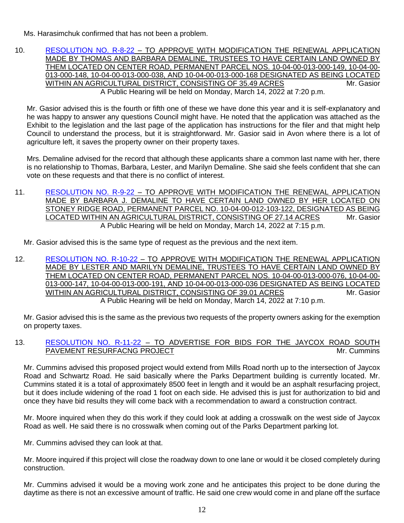Ms. Harasimchuk confirmed that has not been a problem.

10. [RESOLUTION NO. R-8-22](https://www.cityofavon.com/DocumentCenter/View/7662/Resolution-No-R-8-22-Demaline---Thomas-Barbara---Agr-Dist) – TO APPROVE WITH MODIFICATION THE RENEWAL APPLICATION MADE BY THOMAS AND BARBARA DEMALINE, TRUSTEES TO HAVE CERTAIN LAND OWNED BY THEM LOCATED ON CENTER ROAD, PERMANENT PARCEL NOS. 10-04-00-013-000-149, 10-04-00- 013-000-148, 10-04-00-013-000-038, AND 10-04-00-013-000-168 DESIGNATED AS BEING LOCATED WITHIN AN AGRICULTURAL DISTRICT, CONSISTING OF 35.49 ACRES MITHING AND Mr. Gasior A Public Hearing will be held on Monday, March 14, 2022 at 7:20 p.m.

Mr. Gasior advised this is the fourth or fifth one of these we have done this year and it is self-explanatory and he was happy to answer any questions Council might have. He noted that the application was attached as the Exhibit to the legislation and the last page of the application has instructions for the filer and that might help Council to understand the process, but it is straightforward. Mr. Gasior said in Avon where there is a lot of agriculture left, it saves the property owner on their property taxes.

Mrs. Demaline advised for the record that although these applicants share a common last name with her, there is no relationship to Thomas, Barbara, Lester, and Marilyn Demaline. She said she feels confident that she can vote on these requests and that there is no conflict of interest.

11. [RESOLUTION NO. R-9-22](https://www.cityofavon.com/DocumentCenter/View/7663/Resolution-No-R-9-22-Demaline-Barbara---Agr-Dist) - TO APPROVE WITH MODIFICATION THE RENEWAL APPLICATION MADE BY BARBARA J. DEMALINE TO HAVE CERTAIN LAND OWNED BY HER LOCATED ON STONEY RIDGE ROAD, PERMANENT PARCEL NO. 10-04-00-012-103-122, DESIGNATED AS BEING LOCATED WITHIN AN AGRICULTURAL DISTRICT, CONSISTING OF 27.14 ACRES Mr. Gasior A Public Hearing will be held on Monday, March 14, 2022 at 7:15 p.m.

Mr. Gasior advised this is the same type of request as the previous and the next item.

12. [RESOLUTION NO. R-10-22](https://www.cityofavon.com/DocumentCenter/View/7664/Resolution-No-R-10-22-Demaline-Lester-Marilyn---Agr-Dist) – TO APPROVE WITH MODIFICATION THE RENEWAL APPLICATION MADE BY LESTER AND MARILYN DEMALINE, TRUSTEES TO HAVE CERTAIN LAND OWNED BY THEM LOCATED ON CENTER ROAD, PERMANENT PARCEL NOS. 10-04-00-013-000-076, 10-04-00- 013-000-147, 10-04-00-013-000-191, AND 10-04-00-013-000-036 DESIGNATED AS BEING LOCATED WITHIN AN AGRICULTURAL DISTRICT, CONSISTING OF 39.01 ACRES MINIMITY Mr. Gasior A Public Hearing will be held on Monday, March 14, 2022 at 7:10 p.m.

Mr. Gasior advised this is the same as the previous two requests of the property owners asking for the exemption on property taxes.

#### 13. [RESOLUTION NO. R-11-22](https://www.cityofavon.com/DocumentCenter/View/7665/Resolution-No-R-11-22---Jaycox-South-Resurfacing-Bid-Leg) – TO ADVERTISE FOR BIDS FOR THE JAYCOX ROAD SOUTH PAVEMENT RESURFACNG PROJECT NATURAl CONTROL AND MIL Cummins

Mr. Cummins advised this proposed project would extend from Mills Road north up to the intersection of Jaycox Road and Schwartz Road. He said basically where the Parks Department building is currently located. Mr. Cummins stated it is a total of approximately 8500 feet in length and it would be an asphalt resurfacing project, but it does include widening of the road 1 foot on each side. He advised this is just for authorization to bid and once they have bid results they will come back with a recommendation to award a construction contract.

Mr. Moore inquired when they do this work if they could look at adding a crosswalk on the west side of Jaycox Road as well. He said there is no crosswalk when coming out of the Parks Department parking lot.

Mr. Cummins advised they can look at that.

Mr. Moore inquired if this project will close the roadway down to one lane or would it be closed completely during construction.

Mr. Cummins advised it would be a moving work zone and he anticipates this project to be done during the daytime as there is not an excessive amount of traffic. He said one crew would come in and plane off the surface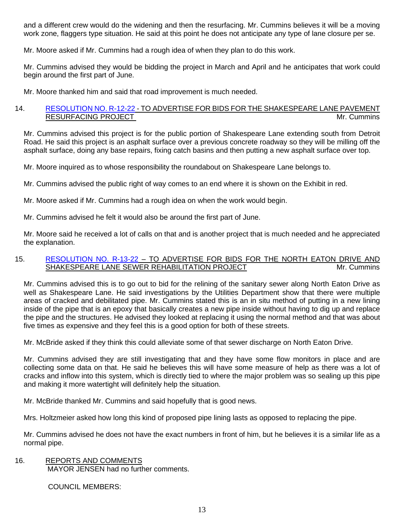and a different crew would do the widening and then the resurfacing. Mr. Cummins believes it will be a moving work zone, flaggers type situation. He said at this point he does not anticipate any type of lane closure per se.

Mr. Moore asked if Mr. Cummins had a rough idea of when they plan to do this work.

Mr. Cummins advised they would be bidding the project in March and April and he anticipates that work could begin around the first part of June.

Mr. Moore thanked him and said that road improvement is much needed.

#### 14. [RESOLUTION NO. R-12-22](https://www.cityofavon.com/DocumentCenter/View/7666/Resolution-No-R-12-22---Shakespeare-Resurfacing-Bid-Leg) - TO ADVERTISE FOR BIDS FOR THE SHAKESPEARE LANE PAVEMENT RESURFACING PROJECT Manual Contract of the Mr. Cummins

Mr. Cummins advised this project is for the public portion of Shakespeare Lane extending south from Detroit Road. He said this project is an asphalt surface over a previous concrete roadway so they will be milling off the asphalt surface, doing any base repairs, fixing catch basins and then putting a new asphalt surface over top.

Mr. Moore inquired as to whose responsibility the roundabout on Shakespeare Lane belongs to.

Mr. Cummins advised the public right of way comes to an end where it is shown on the Exhibit in red.

Mr. Moore asked if Mr. Cummins had a rough idea on when the work would begin.

Mr. Cummins advised he felt it would also be around the first part of June.

Mr. Moore said he received a lot of calls on that and is another project that is much needed and he appreciated the explanation.

#### 15. [RESOLUTION NO. R-13-22](https://www.cityofavon.com/DocumentCenter/View/7667/Resolution-No-R-13-22---North-Eaton-Shakespeare-San-Sewer-Relining-Bid) – TO ADVERTISE FOR BIDS FOR THE NORTH EATON DRIVE AND SHAKESPEARE LANE SEWER REHABILITATION PROJECT **All and the Cummins** Mr. Cummins

Mr. Cummins advised this is to go out to bid for the relining of the sanitary sewer along North Eaton Drive as well as Shakespeare Lane. He said investigations by the Utilities Department show that there were multiple areas of cracked and debilitated pipe. Mr. Cummins stated this is an in situ method of putting in a new lining inside of the pipe that is an epoxy that basically creates a new pipe inside without having to dig up and replace the pipe and the structures. He advised they looked at replacing it using the normal method and that was about five times as expensive and they feel this is a good option for both of these streets.

Mr. McBride asked if they think this could alleviate some of that sewer discharge on North Eaton Drive.

Mr. Cummins advised they are still investigating that and they have some flow monitors in place and are collecting some data on that. He said he believes this will have some measure of help as there was a lot of cracks and inflow into this system, which is directly tied to where the major problem was so sealing up this pipe and making it more watertight will definitely help the situation.

Mr. McBride thanked Mr. Cummins and said hopefully that is good news.

Mrs. Holtzmeier asked how long this kind of proposed pipe lining lasts as opposed to replacing the pipe.

Mr. Cummins advised he does not have the exact numbers in front of him, but he believes it is a similar life as a normal pipe.

## 16. REPORTS AND COMMENTS

MAYOR JENSEN had no further comments.

COUNCIL MEMBERS: